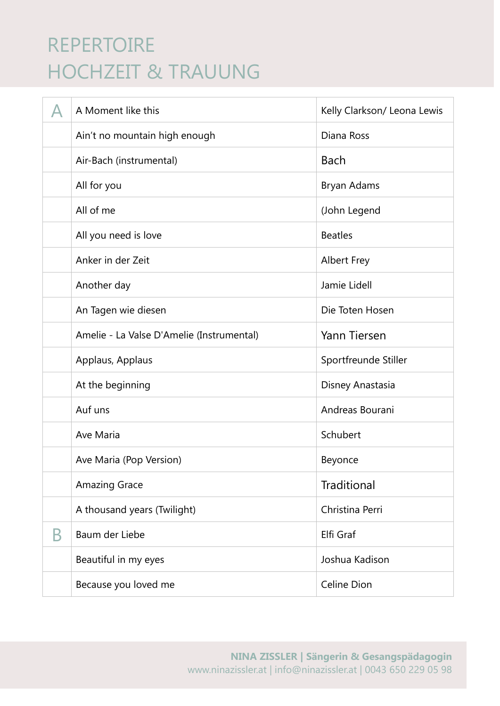|   | A Moment like this                        | Kelly Clarkson/ Leona Lewis |
|---|-------------------------------------------|-----------------------------|
|   | Ain't no mountain high enough             | Diana Ross                  |
|   | Air-Bach (instrumental)                   | <b>Bach</b>                 |
|   | All for you                               | Bryan Adams                 |
|   | All of me                                 | (John Legend                |
|   | All you need is love                      | <b>Beatles</b>              |
|   | Anker in der Zeit                         | <b>Albert Frey</b>          |
|   | Another day                               | Jamie Lidell                |
|   | An Tagen wie diesen                       | Die Toten Hosen             |
|   | Amelie - La Valse D'Amelie (Instrumental) | Yann Tiersen                |
|   | Applaus, Applaus                          | Sportfreunde Stiller        |
|   | At the beginning                          | Disney Anastasia            |
|   | Auf uns                                   | Andreas Bourani             |
|   | Ave Maria                                 | Schubert                    |
|   | Ave Maria (Pop Version)                   | Beyonce                     |
|   | <b>Amazing Grace</b>                      | <b>Traditional</b>          |
|   | A thousand years (Twilight)               | Christina Perri             |
| Β | Baum der Liebe                            | Elfi Graf                   |
|   | Beautiful in my eyes                      | Joshua Kadison              |
|   | Because you loved me                      | Celine Dion                 |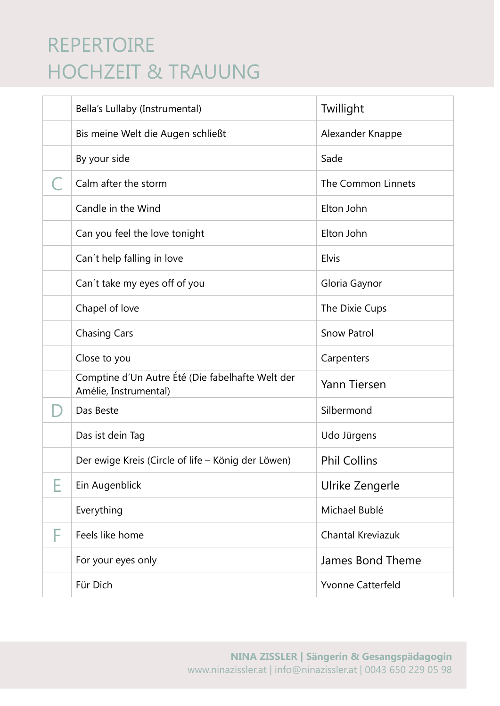| Bella's Lullaby (Instrumental)                                            | Twillight                |
|---------------------------------------------------------------------------|--------------------------|
| Bis meine Welt die Augen schließt                                         | Alexander Knappe         |
| By your side                                                              | Sade                     |
| Calm after the storm                                                      | The Common Linnets       |
| Candle in the Wind                                                        | Elton John               |
| Can you feel the love tonight                                             | Elton John               |
| Can't help falling in love                                                | Elvis                    |
| Can't take my eyes off of you                                             | Gloria Gaynor            |
| Chapel of love                                                            | The Dixie Cups           |
| <b>Chasing Cars</b>                                                       | <b>Snow Patrol</b>       |
| Close to you                                                              | Carpenters               |
| Comptine d'Un Autre Été (Die fabelhafte Welt der<br>Amélie, Instrumental) | Yann Tiersen             |
| Das Beste                                                                 | Silbermond               |
| Das ist dein Tag                                                          | Udo Jürgens              |
| Der ewige Kreis (Circle of life - König der Löwen)                        | <b>Phil Collins</b>      |
| Ein Augenblick                                                            | Ulrike Zengerle          |
| Everything                                                                | Michael Bublé            |
| Feels like home                                                           | Chantal Kreviazuk        |
| For your eyes only                                                        | James Bond Theme         |
| Für Dich                                                                  | <b>Yvonne Catterfeld</b> |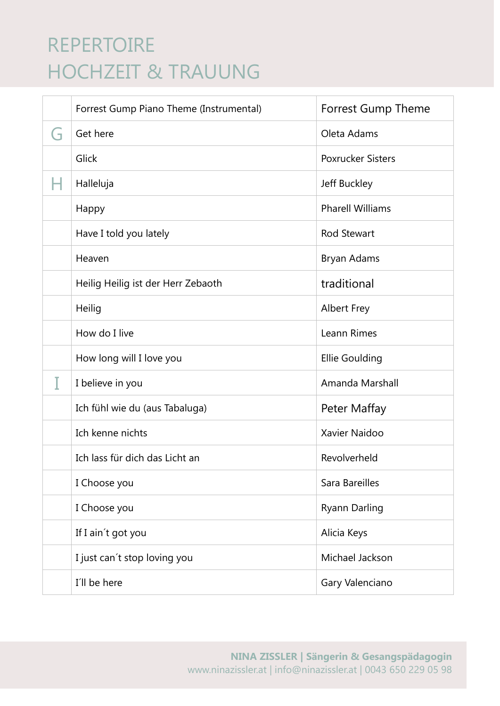|                | Forrest Gump Piano Theme (Instrumental) | <b>Forrest Gump Theme</b> |
|----------------|-----------------------------------------|---------------------------|
| $\blacksquare$ | Get here                                | Oleta Adams               |
|                | Glick                                   | <b>Poxrucker Sisters</b>  |
|                | Halleluja                               | Jeff Buckley              |
|                | Happy                                   | <b>Pharell Williams</b>   |
|                | Have I told you lately                  | <b>Rod Stewart</b>        |
|                | Heaven                                  | Bryan Adams               |
|                | Heilig Heilig ist der Herr Zebaoth      | traditional               |
|                | Heilig                                  | <b>Albert Frey</b>        |
|                | How do I live                           | Leann Rimes               |
|                | How long will I love you                | Ellie Goulding            |
|                | I believe in you                        | Amanda Marshall           |
|                | Ich fühl wie du (aus Tabaluga)          | Peter Maffay              |
|                | Ich kenne nichts                        | Xavier Naidoo             |
|                | Ich lass für dich das Licht an          | Revolverheld              |
|                | I Choose you                            | Sara Bareilles            |
|                | I Choose you                            | <b>Ryann Darling</b>      |
|                | If I ain't got you                      | Alicia Keys               |
|                | I just can't stop loving you            | Michael Jackson           |
|                | I'll be here                            | Gary Valenciano           |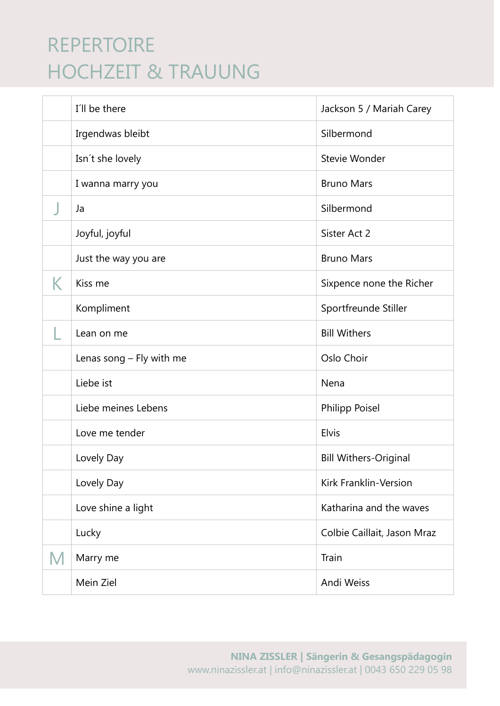|   | I'll be there            | Jackson 5 / Mariah Carey     |
|---|--------------------------|------------------------------|
|   | Irgendwas bleibt         | Silbermond                   |
|   | Isn't she lovely         | Stevie Wonder                |
|   | I wanna marry you        | <b>Bruno Mars</b>            |
|   | Ja                       | Silbermond                   |
|   | Joyful, joyful           | Sister Act 2                 |
|   | Just the way you are     | <b>Bruno Mars</b>            |
| K | Kiss me                  | Sixpence none the Richer     |
|   | Kompliment               | Sportfreunde Stiller         |
|   | Lean on me               | <b>Bill Withers</b>          |
|   | Lenas song - Fly with me | Oslo Choir                   |
|   | Liebe ist                | Nena                         |
|   | Liebe meines Lebens      | Philipp Poisel               |
|   | Love me tender           | Elvis                        |
|   | Lovely Day               | <b>Bill Withers-Original</b> |
|   | Lovely Day               | Kirk Franklin-Version        |
|   | Love shine a light       | Katharina and the waves      |
|   | Lucky                    | Colbie Caillait, Jason Mraz  |
| M | Marry me                 | Train                        |
|   | Mein Ziel                | Andi Weiss                   |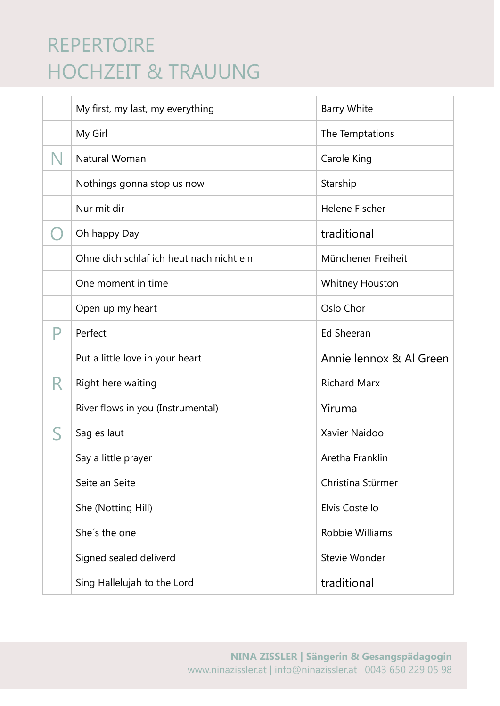|                      | My first, my last, my everything         | <b>Barry White</b>      |
|----------------------|------------------------------------------|-------------------------|
|                      | My Girl                                  | The Temptations         |
| N                    | Natural Woman                            | Carole King             |
|                      | Nothings gonna stop us now               | Starship                |
|                      | Nur mit dir                              | <b>Helene Fischer</b>   |
|                      | Oh happy Day                             | traditional             |
|                      | Ohne dich schlaf ich heut nach nicht ein | Münchener Freiheit      |
|                      | One moment in time                       | <b>Whitney Houston</b>  |
|                      | Open up my heart                         | Oslo Chor               |
|                      | Perfect                                  | <b>Ed Sheeran</b>       |
|                      |                                          |                         |
|                      | Put a little love in your heart          | Annie lennox & Al Green |
| R                    | Right here waiting                       | <b>Richard Marx</b>     |
|                      | River flows in you (Instrumental)        | Yiruma                  |
| $\blacktriangleleft$ | Sag es laut                              | Xavier Naidoo           |
|                      | Say a little prayer                      | Aretha Franklin         |
|                      | Seite an Seite                           | Christina Stürmer       |
|                      | She (Notting Hill)                       | Elvis Costello          |
|                      | She's the one                            | Robbie Williams         |
|                      | Signed sealed deliverd                   | Stevie Wonder           |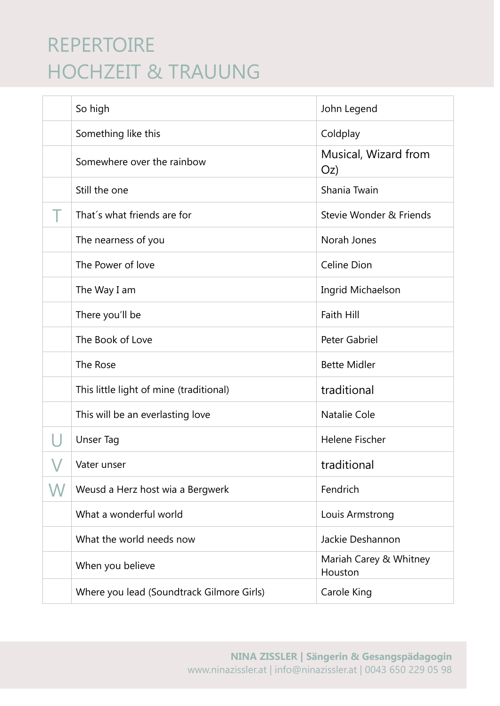| So high                                   | John Legend                       |
|-------------------------------------------|-----------------------------------|
| Something like this                       | Coldplay                          |
| Somewhere over the rainbow                | Musical, Wizard from<br>Oz)       |
| Still the one                             | Shania Twain                      |
| That's what friends are for               | Stevie Wonder & Friends           |
| The nearness of you                       | Norah Jones                       |
| The Power of love                         | Celine Dion                       |
| The Way I am                              | Ingrid Michaelson                 |
| There you'll be                           | Faith Hill                        |
| The Book of Love                          | <b>Peter Gabriel</b>              |
| The Rose                                  | <b>Bette Midler</b>               |
| This little light of mine (traditional)   | traditional                       |
| This will be an everlasting love          | <b>Natalie Cole</b>               |
| Unser Tag                                 | Helene Fischer                    |
| Vater unser                               | traditional                       |
| Weusd a Herz host wia a Bergwerk          | Fendrich                          |
| What a wonderful world                    | Louis Armstrong                   |
| What the world needs now                  | Jackie Deshannon                  |
| When you believe                          | Mariah Carey & Whitney<br>Houston |
| Where you lead (Soundtrack Gilmore Girls) | Carole King                       |